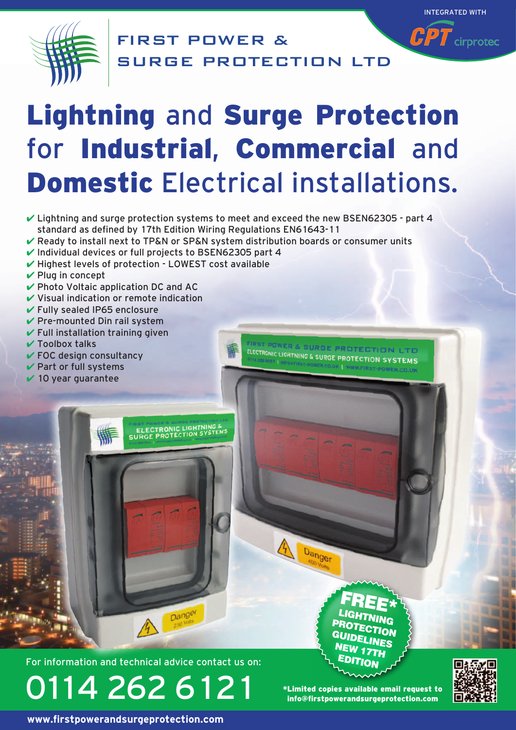

FIRST POWER & SURGE PROTECTION LTD

# Lightning and Surge Protection for Industrial, Commercial and Domestic Electrical installations.

- $\checkmark$  Lightning and surge protection systems to meet and exceed the new BSEN62305 part 4 standard as defined by 17th Edition Wiring Regulations EN61643-11
- $\vee$  Ready to install next to TP&N or SP&N system distribution boards or consumer units
- $\checkmark$  Individual devices or full projects to BSEN62305 part 4

**ELECTRONIC LIGHTNING**<br>SURGE PROTECTION SYST

- $\checkmark$  Highest levels of protection LOWEST cost available
- $\vee$  Plug in concept
- $\vee$  Photo Voltaic application DC and AC
- $\vee$  Visual indication or remote indication
- $\checkmark$  Fully sealed IP65 enclosure
- $\vee$  Pre-mounted Din rail system
- $\checkmark$  Full installation training given
- $\checkmark$  Toolbox talks
- $\checkmark$  FOC design consultancy
- $\vee$  Part or full systems
- $\vee$  10 year guarantee

Dange

For information and technical advice contact us on:

0114 262 6121

\*Limited copies available email request to info@firstpowerandsurgeprotection.com

G N

Danger

ELECTRONIC LIGHTNING & SURGE PROTECTION LTD

FREE\*LIGHTNING PROTECTION

UIDELINES **EW 17TH EDITION** 



INTEGRATED WITH

 $\widehat{\mathbf{\emph{CPT}}}$  cirprotec

**www.firstpowerandsurgeprotection.com**